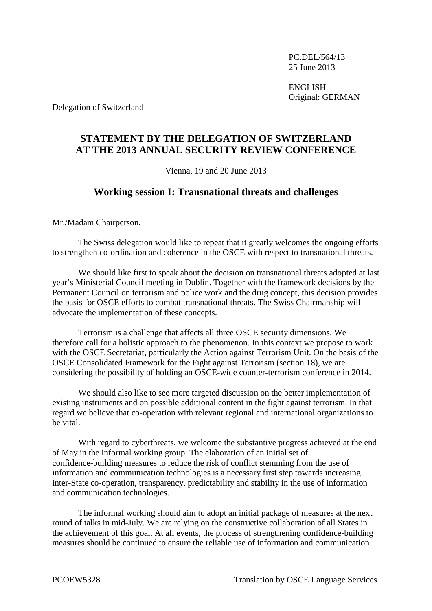PC.DEL/564/13 25 June 2013

ENGLISH Original: GERMAN

Delegation of Switzerland

## **STATEMENT BY THE DELEGATION OF SWITZERLAND AT THE 2013 ANNUAL SECURITY REVIEW CONFERENCE**

Vienna, 19 and 20 June 2013

## **Working session I: Transnational threats and challenges**

Mr./Madam Chairperson,

The Swiss delegation would like to repeat that it greatly welcomes the ongoing efforts to strengthen co-ordination and coherence in the OSCE with respect to transnational threats.

We should like first to speak about the decision on transnational threats adopted at last year's Ministerial Council meeting in Dublin. Together with the framework decisions by the Permanent Council on terrorism and police work and the drug concept, this decision provides the basis for OSCE efforts to combat transnational threats. The Swiss Chairmanship will advocate the implementation of these concepts.

Terrorism is a challenge that affects all three OSCE security dimensions. We therefore call for a holistic approach to the phenomenon. In this context we propose to work with the OSCE Secretariat, particularly the Action against Terrorism Unit. On the basis of the OSCE Consolidated Framework for the Fight against Terrorism (section 18), we are considering the possibility of holding an OSCE-wide counter-terrorism conference in 2014.

We should also like to see more targeted discussion on the better implementation of existing instruments and on possible additional content in the fight against terrorism. In that regard we believe that co-operation with relevant regional and international organizations to be vital.

With regard to cyberthreats, we welcome the substantive progress achieved at the end of May in the informal working group. The elaboration of an initial set of confidence-building measures to reduce the risk of conflict stemming from the use of information and communication technologies is a necessary first step towards increasing inter-State co-operation, transparency, predictability and stability in the use of information and communication technologies.

The informal working should aim to adopt an initial package of measures at the next round of talks in mid-July. We are relying on the constructive collaboration of all States in the achievement of this goal. At all events, the process of strengthening confidence-building measures should be continued to ensure the reliable use of information and communication